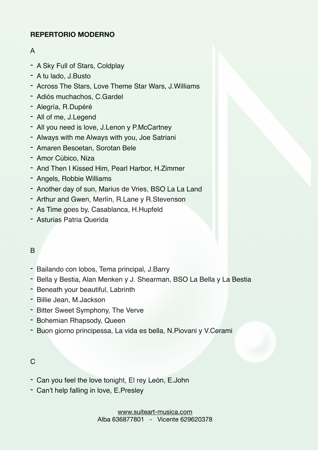## **REPERTORIO MODERNO**

## A

- A Sky Full of Stars, Coldplay
- A tu lado, J.Busto
- Across The Stars, Love Theme Star Wars, J.Williams
- Adiós muchachos, C.Gardel
- Alegría, R.Dupéré
- All of me, J.Legend
- All you need is love, J.Lenon y P.McCartney
- Always with me Always with you, Joe Satriani
- Amaren Besoetan, Sorotan Bele
- Amor Cúbico, Niza
- And Then I Kissed Him, Pearl Harbor, H.Zimmer
- Angels, Robbie Williams
- Another day of sun, Marius de Vries, BSO La La Land
- Arthur and Gwen, Merlín, R.Lane y R.Stevenson
- As Time goes by, Casablanca, H.Hupfeld
- Asturias Patria Querida

## B

- Bailando con lobos, Tema principal, J.Barry
- Bella y Bestia, Alan Menken y J. Shearman, BSO La Bella y La Bestia
- Beneath your beautiful, Labrinth
- Billie Jean, M.Jackson
- Bitter Sweet Symphony, The Verve
- Bohemian Rhapsody, Queen
- Buon giorno principessa, La vida es bella, N.Piovani y V.Cerami

#### $\mathcal{C}$

- Can you feel the love tonight, El rey León, E.John
- Can't help falling in love, E.Presley

[www.suiteart-musica.com](http://www.suiteart-musica.com) Alba 636877801 - Vicente 629620378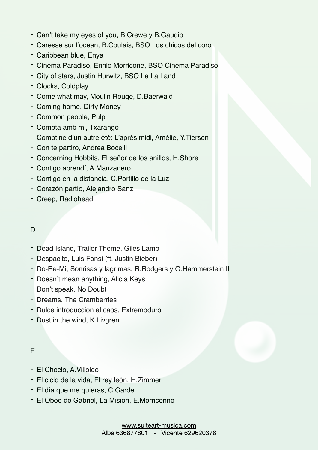- Can't take my eyes of you, B.Crewe y B.Gaudio
- Caresse sur l'ocean, B.Coulais, BSO Los chicos del coro
- Caribbean blue, Enya
- Cinema Paradiso, Ennio Morricone, BSO Cinema Paradiso
- City of stars, Justin Hurwitz, BSO La La Land
- Clocks, Coldplay
- Come what may, Moulin Rouge, D.Baerwald
- Coming home, Dirty Money
- Common people, Pulp
- Compta amb mi, Txarango
- Comptine d'un autre été: L'après midi, Amélie, Y.Tiersen
- Con te partiro, Andrea Bocelli
- Concerning Hobbits, El señor de los anillos, H.Shore
- Contigo aprendí, A.Manzanero
- Contigo en la distancia, C.Portillo de la Luz
- Corazón partío, Alejandro Sanz
- Creep, Radiohead

## D

- Dead Island, Trailer Theme, Giles Lamb
- Despacito, Luis Fonsi (ft. Justin Bieber)
- Do-Re-Mi, Sonrisas y lágrimas, R.Rodgers y O.Hammerstein II
- Doesn't mean anything, Alicia Keys
- Don't speak, No Doubt
- Dreams, The Cramberries
- Dulce introducción al caos, Extremoduro
- Dust in the wind, K.Livgren

## E

- El Choclo, A.Villoldo
- El ciclo de la vida, El rey león, H.Zimmer
- El día que me quieras, C.Gardel
- El Oboe de Gabriel, La Misión, E.Morriconne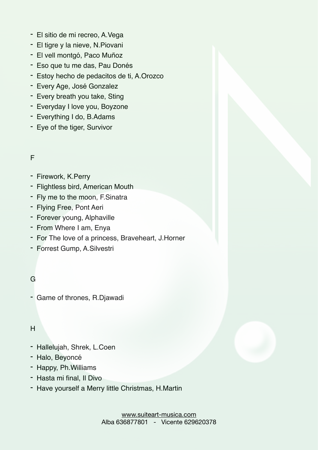- El sitio de mi recreo, A.Vega
- El tigre y la nieve, N.Piovani
- El vell montgó, Paco Muñoz
- Eso que tu me das, Pau Donés
- Estoy hecho de pedacitos de ti, A.Orozco
- Every Age, José Gonzalez
- Every breath you take, Sting
- Everyday I love you, Boyzone
- Everything I do, B.Adams
- Eye of the tiger, Survivor

#### F

- Firework, K.Perry
- Flightless bird, American Mouth
- Fly me to the moon, F.Sinatra
- Flying Free, Pont Aeri
- Forever young, Alphaville
- From Where I am, Enya
- For The love of a princess, Braveheart, J.Horner
- Forrest Gump, A.Silvestri

## G

- Game of thrones, R.Djawadi

#### H

- Hallelujah, Shrek, L.Coen
- Halo, Beyoncé
- Happy, Ph.Williams
- Hasta mi final, Il Divo
- Have yourself a Merry little Christmas, H.Martin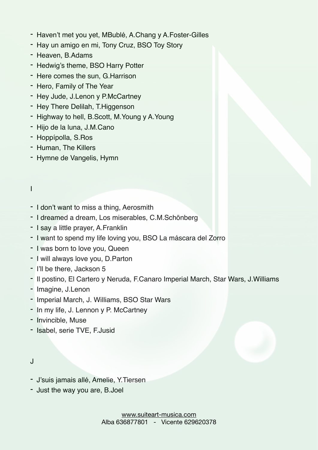- Haven't met you yet, MBublé, A.Chang y A.Foster-Gilles
- Hay un amigo en mi, Tony Cruz, BSO Toy Story
- Heaven, B.Adams
- Hedwig's theme, BSO Harry Potter
- Here comes the sun, G.Harrison
- Hero, Family of The Year
- Hey Jude, J.Lenon y P.McCartney
- Hey There Delilah, T.Higgenson
- Highway to hell, B.Scott, M.Young y A.Young
- Hijo de la luna, J.M.Cano
- Hoppípolla, S.Ros
- Human, The Killers
- Hymne de Vangelis, Hymn
- I
- I don't want to miss a thing, Aerosmith
- I dreamed a dream, Los miserables, C.M.Schönberg
- I say a little prayer, A.Franklin
- I want to spend my life loving you, BSO La máscara del Zorro
- I was born to love you, Queen
- I will always love you, D.Parton
- I'll be there, Jackson 5
- Il postino, El Cartero y Neruda, F.Canaro Imperial March, Star Wars, J.Williams
- Imagine, J.Lenon
- Imperial March, J. Williams, BSO Star Wars
- In my life, J. Lennon y P. McCartney
- Invincible, Muse
- Isabel, serie TVE, F.Jusid
- J
- J'suis jamais allé, Amelie, Y.Tiersen
- Just the way you are, B.Joel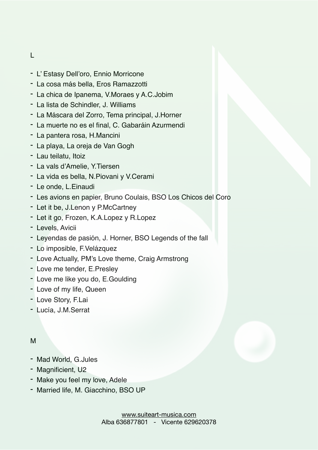- L
- L' Estasy Dell'oro, Ennio Morricone
- La cosa más bella, Eros Ramazzotti
- La chica de Ipanema, V.Moraes y A.C.Jobim
- La lista de Schindler, J. Williams
- La Máscara del Zorro, Tema principal, J.Horner
- La muerte no es el final, C. Gabaráin Azurmendi
- La pantera rosa, H.Mancini
- La playa, La oreja de Van Gogh
- Lau teilatu, Itoiz
- La vals d'Amelie, Y.Tiersen
- La vida es bella, N.Piovani y V.Cerami
- Le onde, L.Einaudi
- Les avions en papier, Bruno Coulais, BSO Los Chicos del Coro
- Let it be, J.Lenon y P.McCartney
- Let it go, Frozen, K.A.Lopez y R.Lopez
- Levels, Avicii
- Leyendas de pasión, J. Horner, BSO Legends of the fall
- Lo imposible, F.Velázquez
- Love Actually, PM's Love theme, Craig Armstrong
- Love me tender, E.Presley
- Love me like you do, E.Goulding
- Love of my life, Queen
- Love Story, F.Lai
- Lucía, J.M.Serrat

#### M

- Mad World, G.Jules
- Magnificient, U2
- Make you feel my love, Adele
- Married life, M. Giacchino, BSO UP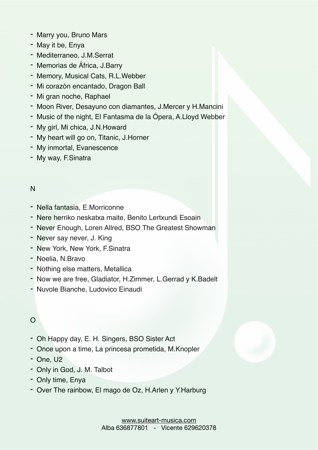- Marry you, Bruno Mars
- May it be, Enya
- Mediterraneo, J.M.Serrat
- Memorias de África, J.Barry
- Memory, Musical Cats, R.L.Webber
- Mi corazón encantado, Dragon Ball
- Mi gran noche, Raphael
- Moon River, Desayuno con diamantes, J.Mercer y H.Mancini
- Music of the night, El Fantasma de la Ópera, A.Lloyd Webber
- My girl, Mi chica, J.N.Howard
- My heart will go on, Titanic, J.Horner
- My inmortal, Evanescence
- My way, F.Sinatra

## N

- Nella fantasia, E.Morriconne
- Nere herriko neskatxa maite, Benito Lertxundi Esoain
- Never Enough, Loren Allred, BSO The Greatest Showman
- Never say never, J. King
- New York, New York, F.Sinatra
- Noelia, N.Bravo
- Nothing else matters, Metallica
- Now we are free, Gladiator, H.Zimmer, L.Gerrad y K.Badelt
- Nuvole Bianche, Ludovico Einaudi

# $\Omega$

- Oh Happy day, E. H. Singers, BSO Sister Act
- Once upon a time, La princesa prometida, M.Knopler
- One, U2
- Only in God, J. M. Talbot
- Only time, Enya
- Over The rainbow, El mago de Oz, H.Arlen y Y.Harburg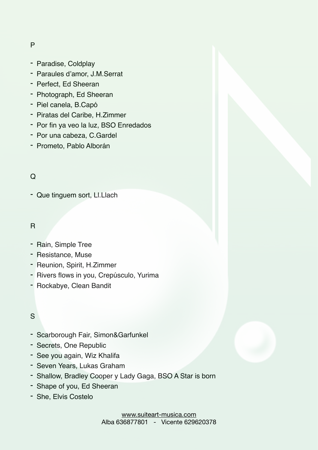#### P

- Paradise, Coldplay
- Paraules d'amor, J.M.Serrat
- Perfect, Ed Sheeran
- Photograph, Ed Sheeran
- Piel canela, B.Capó
- Piratas del Caribe, H.Zimmer
- Por fin ya veo la luz, BSO Enredados
- Por una cabeza, C.Gardel
- Prometo, Pablo Alborán

## Q

- Que tinguem sort, Ll.Llach

#### R

- Rain, Simple Tree
- Resistance, Muse
- Reunion, Spirit, H.Zimmer
- Rivers flows in you, Crepúsculo, Yurima
- Rockabye, Clean Bandit

#### S

- Scarborough Fair, Simon&Garfunkel
- Secrets, One Republic
- See you again, Wiz Khalifa
- Seven Years, Lukas Graham
- Shallow, Bradley Cooper y Lady Gaga, BSO A Star is born
- Shape of you, Ed Sheeran
- She, Elvis Costelo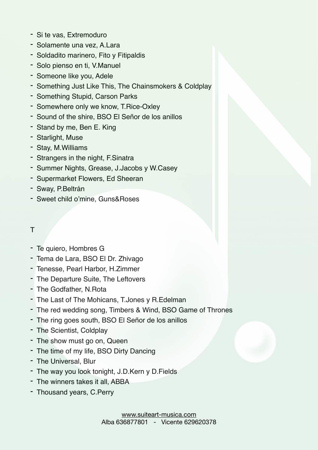- Si te vas, Extremoduro
- Solamente una vez, A.Lara
- Soldadito marinero, Fito y Fitipaldis
- Solo pienso en ti, V.Manuel
- Someone like you, Adele
- Something Just Like This, The Chainsmokers & Coldplay
- Something Stupid, Carson Parks
- Somewhere only we know, T.Rice-Oxley
- Sound of the shire, BSO El Señor de los anillos
- Stand by me, Ben E. King
- Starlight, Muse
- Stay, M.Williams
- Strangers in the night, F.Sinatra
- Summer Nights, Grease, J.Jacobs y W.Casey
- Supermarket Flowers, Ed Sheeran
- Sway, P.Beltrán
- Sweet child o'mine, Guns&Roses

## T

- Te quiero, Hombres G
- Tema de Lara, BSO El Dr. Zhivago
- Tenesse, Pearl Harbor, H.Zimmer
- The Departure Suite, The Leftovers
- The Godfather, N.Rota
- The Last of The Mohicans, T.Jones y R.Edelman
- The red wedding song, Timbers & Wind, BSO Game of Thrones
- The ring goes south, BSO El Señor de los anillos
- The Scientist, Coldplay
- The show must go on, Queen
- The time of my life, BSO Dirty Dancing
- The Universal, Blur
- The way you look tonight, J.D.Kern y D.Fields
- The winners takes it all, ABBA
- Thousand years, C.Perry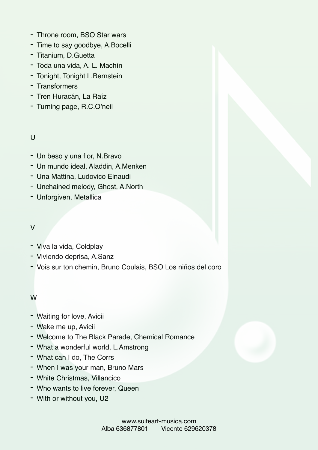- Throne room, BSO Star wars
- Time to say goodbye, A.Bocelli
- Titanium, D.Guetta
- Toda una vida, A. L. Machín
- Tonight, Tonight L.Bernstein
- Transformers
- Tren Huracán, La Raíz
- Turning page, R.C.O'neil

## $\cup$

- Un beso y una flor, N.Bravo
- Un mundo ideal, Aladdin, A.Menken
- Una Mattina, Ludovico Einaudi
- Unchained melody, Ghost, A.North
- Unforgiven, Metallica

## V

- Viva la vida, Coldplay
- Viviendo deprisa, A.Sanz
- Vois sur ton chemin, Bruno Coulais, BSO Los niños del coro

## W

- Waiting for love, Avicii
- Wake me up, Avicii
- Welcome to The Black Parade, Chemical Romance
- What a wonderful world, L.Amstrong
- What can I do, The Corrs
- When I was your man, Bruno Mars
- White Christmas, Villancico
- Who wants to live forever, Queen
- With or without you, U2